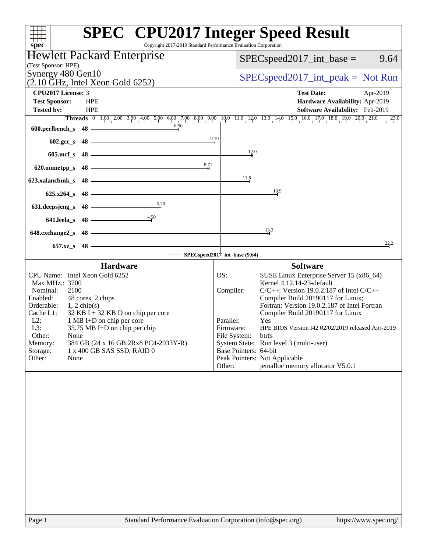| Copyright 2017-2019 Standard Performance Evaluation Corporation<br>spec <sup>®</sup>                                                                                                                                                                                                                                                                                                                                          | <b>SPEC<sup>®</sup></b> CPU2017 Integer Speed Result                                                                                                                                                                                                                                                                                                                                                                                                                                                                                                      |
|-------------------------------------------------------------------------------------------------------------------------------------------------------------------------------------------------------------------------------------------------------------------------------------------------------------------------------------------------------------------------------------------------------------------------------|-----------------------------------------------------------------------------------------------------------------------------------------------------------------------------------------------------------------------------------------------------------------------------------------------------------------------------------------------------------------------------------------------------------------------------------------------------------------------------------------------------------------------------------------------------------|
| Hewlett Packard Enterprise                                                                                                                                                                                                                                                                                                                                                                                                    | $SPEC speed2017\_int\_base =$<br>9.64                                                                                                                                                                                                                                                                                                                                                                                                                                                                                                                     |
| (Test Sponsor: HPE)                                                                                                                                                                                                                                                                                                                                                                                                           |                                                                                                                                                                                                                                                                                                                                                                                                                                                                                                                                                           |
| Synergy 480 Gen10<br>$(2.10 \text{ GHz}, \text{Intel Xeon Gold } 6252)$                                                                                                                                                                                                                                                                                                                                                       | $SPEC speed2017\_int\_peak = Not Run$                                                                                                                                                                                                                                                                                                                                                                                                                                                                                                                     |
| <b>CPU2017 License: 3</b>                                                                                                                                                                                                                                                                                                                                                                                                     | <b>Test Date:</b><br>Apr-2019                                                                                                                                                                                                                                                                                                                                                                                                                                                                                                                             |
| <b>Test Sponsor:</b><br><b>HPE</b>                                                                                                                                                                                                                                                                                                                                                                                            | Hardware Availability: Apr-2019                                                                                                                                                                                                                                                                                                                                                                                                                                                                                                                           |
| <b>Tested by:</b><br><b>HPE</b>                                                                                                                                                                                                                                                                                                                                                                                               | Software Availability: Feb-2019<br>Threads 0 1.00 2.00 3.00 4.00 5.00 6.00 7.00 8.00 9.00 10.0 11.0 12.0 13.0 14.0 15.0 16.0 17.0 18.0 19.0 20.0 21.0<br>23.0                                                                                                                                                                                                                                                                                                                                                                                             |
| 6.50<br>600.perlbench_s<br>48                                                                                                                                                                                                                                                                                                                                                                                                 |                                                                                                                                                                                                                                                                                                                                                                                                                                                                                                                                                           |
| 602.gcc_s<br>48                                                                                                                                                                                                                                                                                                                                                                                                               | $\frac{9.19}{4}$                                                                                                                                                                                                                                                                                                                                                                                                                                                                                                                                          |
| $605$ .mcf_s<br>48                                                                                                                                                                                                                                                                                                                                                                                                            | 12.0                                                                                                                                                                                                                                                                                                                                                                                                                                                                                                                                                      |
| 8.71<br>48<br>620.omnetpp_s                                                                                                                                                                                                                                                                                                                                                                                                   |                                                                                                                                                                                                                                                                                                                                                                                                                                                                                                                                                           |
|                                                                                                                                                                                                                                                                                                                                                                                                                               | $\frac{11.6}{ }$                                                                                                                                                                                                                                                                                                                                                                                                                                                                                                                                          |
| 48<br>623.xalancbmk_s                                                                                                                                                                                                                                                                                                                                                                                                         | 13.9                                                                                                                                                                                                                                                                                                                                                                                                                                                                                                                                                      |
| 48<br>$625.x264$ s<br>5.20                                                                                                                                                                                                                                                                                                                                                                                                    |                                                                                                                                                                                                                                                                                                                                                                                                                                                                                                                                                           |
| 631.deepsjeng_s<br>48                                                                                                                                                                                                                                                                                                                                                                                                         |                                                                                                                                                                                                                                                                                                                                                                                                                                                                                                                                                           |
| 4.50<br>641.leela_s<br>48                                                                                                                                                                                                                                                                                                                                                                                                     |                                                                                                                                                                                                                                                                                                                                                                                                                                                                                                                                                           |
| 648.exchange2_s<br>48                                                                                                                                                                                                                                                                                                                                                                                                         | 13.3                                                                                                                                                                                                                                                                                                                                                                                                                                                                                                                                                      |
| 48<br>$657.xz$ <sub>S</sub>                                                                                                                                                                                                                                                                                                                                                                                                   | 22.2                                                                                                                                                                                                                                                                                                                                                                                                                                                                                                                                                      |
|                                                                                                                                                                                                                                                                                                                                                                                                                               | SPECspeed2017_int_base (9.64)                                                                                                                                                                                                                                                                                                                                                                                                                                                                                                                             |
| <b>Hardware</b><br>CPU Name: Intel Xeon Gold 6252<br>Max MHz.: 3700<br>2100<br>Nominal:<br>Enabled:<br>48 cores, 2 chips<br>Orderable:<br>$1, 2$ chip(s)<br>$32$ KB I + 32 KB D on chip per core<br>Cache L1:<br>$L2$ :<br>1 MB I+D on chip per core<br>L3:<br>35.75 MB I+D on chip per chip<br>Other:<br>None<br>Memory:<br>384 GB (24 x 16 GB 2Rx8 PC4-2933Y-R)<br>Storage:<br>1 x 400 GB SAS SSD, RAID 0<br>Other:<br>None | <b>Software</b><br>SUSE Linux Enterprise Server 15 (x86_64)<br>OS:<br>Kernel 4.12.14-23-default<br>Compiler:<br>$C/C++$ : Version 19.0.2.187 of Intel $C/C++$<br>Compiler Build 20190117 for Linux;<br>Fortran: Version 19.0.2.187 of Intel Fortran<br>Compiler Build 20190117 for Linux<br>Parallel:<br>Yes<br>Firmware:<br>HPE BIOS Version I42 02/02/2019 released Apr-2019<br>File System:<br>btrfs<br>System State: Run level 3 (multi-user)<br>Base Pointers: 64-bit<br>Peak Pointers: Not Applicable<br>jemalloc memory allocator V5.0.1<br>Other: |
|                                                                                                                                                                                                                                                                                                                                                                                                                               |                                                                                                                                                                                                                                                                                                                                                                                                                                                                                                                                                           |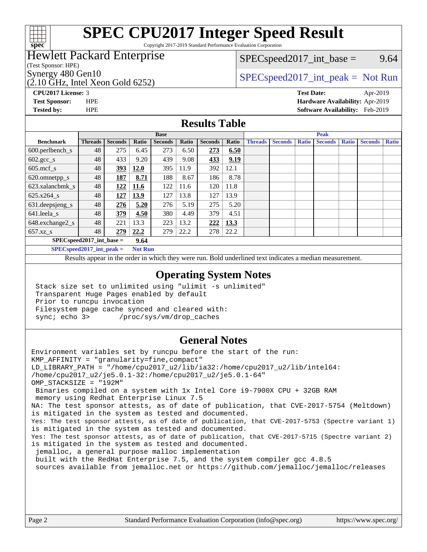

# **[SPEC CPU2017 Integer Speed Result](http://www.spec.org/auto/cpu2017/Docs/result-fields.html#SPECCPU2017IntegerSpeedResult)**

Copyright 2017-2019 Standard Performance Evaluation Corporation

## Hewlett Packard Enterprise

(Test Sponsor: HPE)

(2.10 GHz, Intel Xeon Gold 6252)

 $SPEC speed2017\_int\_base =$  9.64

# Synergy 480 Gen10  $S^{per}$  [SPECspeed2017\\_int\\_peak =](http://www.spec.org/auto/cpu2017/Docs/result-fields.html#SPECspeed2017intpeak) Not Run

**[Tested by:](http://www.spec.org/auto/cpu2017/Docs/result-fields.html#Testedby)** HPE **[Software Availability:](http://www.spec.org/auto/cpu2017/Docs/result-fields.html#SoftwareAvailability)** Feb-2019

**[CPU2017 License:](http://www.spec.org/auto/cpu2017/Docs/result-fields.html#CPU2017License)** 3 **[Test Date:](http://www.spec.org/auto/cpu2017/Docs/result-fields.html#TestDate)** Apr-2019 **[Test Sponsor:](http://www.spec.org/auto/cpu2017/Docs/result-fields.html#TestSponsor)** HPE **[Hardware Availability:](http://www.spec.org/auto/cpu2017/Docs/result-fields.html#HardwareAvailability)** Apr-2019

## **[Results Table](http://www.spec.org/auto/cpu2017/Docs/result-fields.html#ResultsTable)**

|                                    | <b>Base</b>    |                |              |                | <b>Peak</b> |                |       |                |                |              |                |              |                |              |
|------------------------------------|----------------|----------------|--------------|----------------|-------------|----------------|-------|----------------|----------------|--------------|----------------|--------------|----------------|--------------|
| <b>Benchmark</b>                   | <b>Threads</b> | <b>Seconds</b> | <b>Ratio</b> | <b>Seconds</b> | Ratio       | <b>Seconds</b> | Ratio | <b>Threads</b> | <b>Seconds</b> | <b>Ratio</b> | <b>Seconds</b> | <b>Ratio</b> | <b>Seconds</b> | <b>Ratio</b> |
| 600.perlbench_s                    | 48             | 275            | 6.45         | 273            | 6.50        | 273            | 6.50  |                |                |              |                |              |                |              |
| $602.\text{gcc}\_\text{s}$         | 48             | 433            | 9.20         | 439            | 9.08        | 433            | 9.19  |                |                |              |                |              |                |              |
| $605$ .mcf s                       | 48             | 393            | <b>12.0</b>  | 395            | 11.9        | 392            | 12.1  |                |                |              |                |              |                |              |
| 620.omnetpp_s                      | 48             | 187            | 8.71         | 188            | 8.67        | 186            | 8.78  |                |                |              |                |              |                |              |
| 623.xalancbmk s                    | 48             | 122            | <b>11.6</b>  | 122            | 11.6        | 120            | 11.8  |                |                |              |                |              |                |              |
| 625.x264 s                         | 48             | 127            | 13.9         | 127            | 13.8        | 127            | 13.9  |                |                |              |                |              |                |              |
| 631.deepsjeng_s                    | 48             | 276            | 5.20         | 276            | 5.19        | 275            | 5.20  |                |                |              |                |              |                |              |
| 641.leela s                        | 48             | 379            | 4.50         | 380            | 4.49        | 379            | 4.51  |                |                |              |                |              |                |              |
| 648.exchange2_s                    | 48             | 221            | 13.3         | 223            | 13.2        | 222            | 13.3  |                |                |              |                |              |                |              |
| $657.xz$ s                         | 48             | 279            | 22.2         | 279            | 22.2        | 278            | 22.2  |                |                |              |                |              |                |              |
| $SPECspeed2017$ int base =<br>9.64 |                |                |              |                |             |                |       |                |                |              |                |              |                |              |

**[SPECspeed2017\\_int\\_peak =](http://www.spec.org/auto/cpu2017/Docs/result-fields.html#SPECspeed2017intpeak) Not Run**

Results appear in the [order in which they were run.](http://www.spec.org/auto/cpu2017/Docs/result-fields.html#RunOrder) Bold underlined text [indicates a median measurement.](http://www.spec.org/auto/cpu2017/Docs/result-fields.html#Median)

### **[Operating System Notes](http://www.spec.org/auto/cpu2017/Docs/result-fields.html#OperatingSystemNotes)**

 Stack size set to unlimited using "ulimit -s unlimited" Transparent Huge Pages enabled by default Prior to runcpu invocation Filesystem page cache synced and cleared with: sync; echo 3> /proc/sys/vm/drop\_caches

## **[General Notes](http://www.spec.org/auto/cpu2017/Docs/result-fields.html#GeneralNotes)**

Environment variables set by runcpu before the start of the run: KMP\_AFFINITY = "granularity=fine,compact" LD\_LIBRARY\_PATH = "/home/cpu2017\_u2/lib/ia32:/home/cpu2017\_u2/lib/intel64: /home/cpu2017\_u2/je5.0.1-32:/home/cpu2017\_u2/je5.0.1-64" OMP\_STACKSIZE = "192M" Binaries compiled on a system with 1x Intel Core i9-7900X CPU + 32GB RAM memory using Redhat Enterprise Linux 7.5 NA: The test sponsor attests, as of date of publication, that CVE-2017-5754 (Meltdown) is mitigated in the system as tested and documented. Yes: The test sponsor attests, as of date of publication, that CVE-2017-5753 (Spectre variant 1) is mitigated in the system as tested and documented. Yes: The test sponsor attests, as of date of publication, that CVE-2017-5715 (Spectre variant 2) is mitigated in the system as tested and documented. jemalloc, a general purpose malloc implementation built with the RedHat Enterprise 7.5, and the system compiler gcc 4.8.5 sources available from jemalloc.net or<https://github.com/jemalloc/jemalloc/releases>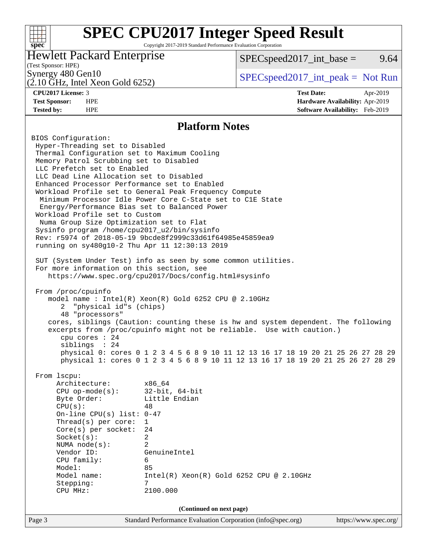#### **[SPEC CPU2017 Integer Speed Result](http://www.spec.org/auto/cpu2017/Docs/result-fields.html#SPECCPU2017IntegerSpeedResult)**  $+\ +$ Copyright 2017-2019 Standard Performance Evaluation Corporation **[spec](http://www.spec.org/)** Hewlett Packard Enterprise  $SPEC speed2017\_int\_base =$  9.64 (Test Sponsor: HPE) Synergy 480 Gen10  $S^{per}$  [SPECspeed2017\\_int\\_peak =](http://www.spec.org/auto/cpu2017/Docs/result-fields.html#SPECspeed2017intpeak) Not Run (2.10 GHz, Intel Xeon Gold 6252) **[CPU2017 License:](http://www.spec.org/auto/cpu2017/Docs/result-fields.html#CPU2017License)** 3 **[Test Date:](http://www.spec.org/auto/cpu2017/Docs/result-fields.html#TestDate)** Apr-2019 **[Test Sponsor:](http://www.spec.org/auto/cpu2017/Docs/result-fields.html#TestSponsor)** HPE **[Hardware Availability:](http://www.spec.org/auto/cpu2017/Docs/result-fields.html#HardwareAvailability)** Apr-2019 **[Tested by:](http://www.spec.org/auto/cpu2017/Docs/result-fields.html#Testedby)** HPE **[Software Availability:](http://www.spec.org/auto/cpu2017/Docs/result-fields.html#SoftwareAvailability)** Feb-2019 **[Platform Notes](http://www.spec.org/auto/cpu2017/Docs/result-fields.html#PlatformNotes)** BIOS Configuration: Hyper-Threading set to Disabled Thermal Configuration set to Maximum Cooling Memory Patrol Scrubbing set to Disabled LLC Prefetch set to Enabled LLC Dead Line Allocation set to Disabled Enhanced Processor Performance set to Enabled Workload Profile set to General Peak Frequency Compute Minimum Processor Idle Power Core C-State set to C1E State Energy/Performance Bias set to Balanced Power Workload Profile set to Custom Numa Group Size Optimization set to Flat Sysinfo program /home/cpu2017\_u2/bin/sysinfo Rev: r5974 of 2018-05-19 9bcde8f2999c33d61f64985e45859ea9 running on sy480g10-2 Thu Apr 11 12:30:13 2019 SUT (System Under Test) info as seen by some common utilities. For more information on this section, see <https://www.spec.org/cpu2017/Docs/config.html#sysinfo> From /proc/cpuinfo model name : Intel(R) Xeon(R) Gold 6252 CPU @ 2.10GHz 2 "physical id"s (chips) 48 "processors" cores, siblings (Caution: counting these is hw and system dependent. The following excerpts from /proc/cpuinfo might not be reliable. Use with caution.) cpu cores : 24 siblings : 24 physical 0: cores 0 1 2 3 4 5 6 8 9 10 11 12 13 16 17 18 19 20 21 25 26 27 28 29 physical 1: cores 0 1 2 3 4 5 6 8 9 10 11 12 13 16 17 18 19 20 21 25 26 27 28 29 From lscpu: Architecture: x86\_64 CPU op-mode(s): 32-bit, 64-bit Byte Order: Little Endian  $CPU(s):$  48 On-line CPU(s) list: 0-47 Thread(s) per core: 1 Core(s) per socket: 24 Socket(s): 2 NUMA node(s): 2 Vendor ID: GenuineIntel CPU family: 6 Model: 85 Model name: Intel(R) Xeon(R) Gold 6252 CPU @ 2.10GHz Stepping: 7 CPU MHz: 2100.000 **(Continued on next page)**Page 3 Standard Performance Evaluation Corporation [\(info@spec.org\)](mailto:info@spec.org) <https://www.spec.org/>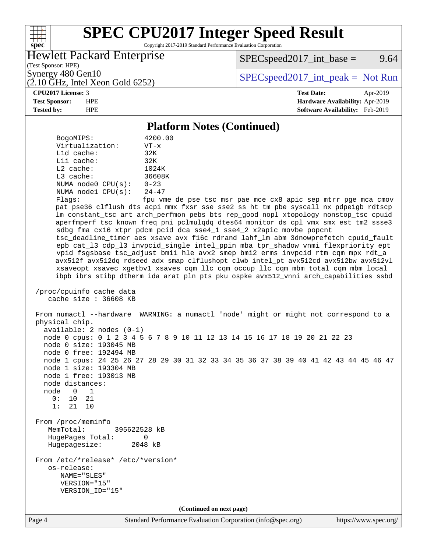## $+\ +$ **[spec](http://www.spec.org/)**

# **[SPEC CPU2017 Integer Speed Result](http://www.spec.org/auto/cpu2017/Docs/result-fields.html#SPECCPU2017IntegerSpeedResult)**

Copyright 2017-2019 Standard Performance Evaluation Corporation

## Hewlett Packard Enterprise

 $SPECspeed2017\_int\_base =$  9.64

(Test Sponsor: HPE)

Synergy 480 Gen10<br>  $SPEC speed2017\_int\_peak = Not Run$ 

# (2.10 GHz, Intel Xeon Gold 6252)

**[CPU2017 License:](http://www.spec.org/auto/cpu2017/Docs/result-fields.html#CPU2017License)** 3 **[Test Date:](http://www.spec.org/auto/cpu2017/Docs/result-fields.html#TestDate)** Apr-2019 **[Test Sponsor:](http://www.spec.org/auto/cpu2017/Docs/result-fields.html#TestSponsor)** HPE **[Hardware Availability:](http://www.spec.org/auto/cpu2017/Docs/result-fields.html#HardwareAvailability)** Apr-2019 **[Tested by:](http://www.spec.org/auto/cpu2017/Docs/result-fields.html#Testedby)** HPE **[Software Availability:](http://www.spec.org/auto/cpu2017/Docs/result-fields.html#SoftwareAvailability)** Feb-2019

#### **[Platform Notes \(Continued\)](http://www.spec.org/auto/cpu2017/Docs/result-fields.html#PlatformNotes)**

| BogoMIPS:                                                                                                                                            | 4200.00                                                                                                                                                                                                                                                                                                                                                                                                                                                                                                                                                                                                                                                                                                                                                                                                                                                                                                                                   |                       |
|------------------------------------------------------------------------------------------------------------------------------------------------------|-------------------------------------------------------------------------------------------------------------------------------------------------------------------------------------------------------------------------------------------------------------------------------------------------------------------------------------------------------------------------------------------------------------------------------------------------------------------------------------------------------------------------------------------------------------------------------------------------------------------------------------------------------------------------------------------------------------------------------------------------------------------------------------------------------------------------------------------------------------------------------------------------------------------------------------------|-----------------------|
| Virtualization:<br>L1d cache:                                                                                                                        | $VT - x$<br>32K                                                                                                                                                                                                                                                                                                                                                                                                                                                                                                                                                                                                                                                                                                                                                                                                                                                                                                                           |                       |
| Lli cache:                                                                                                                                           | 32K                                                                                                                                                                                                                                                                                                                                                                                                                                                                                                                                                                                                                                                                                                                                                                                                                                                                                                                                       |                       |
| $L2$ cache:                                                                                                                                          | 1024K                                                                                                                                                                                                                                                                                                                                                                                                                                                                                                                                                                                                                                                                                                                                                                                                                                                                                                                                     |                       |
| L3 cache:                                                                                                                                            | 36608K                                                                                                                                                                                                                                                                                                                                                                                                                                                                                                                                                                                                                                                                                                                                                                                                                                                                                                                                    |                       |
| NUMA node0 CPU(s):                                                                                                                                   | $0 - 23$                                                                                                                                                                                                                                                                                                                                                                                                                                                                                                                                                                                                                                                                                                                                                                                                                                                                                                                                  |                       |
| NUMA nodel $CPU(s):$                                                                                                                                 | $24 - 47$                                                                                                                                                                                                                                                                                                                                                                                                                                                                                                                                                                                                                                                                                                                                                                                                                                                                                                                                 |                       |
| Flags:                                                                                                                                               | fpu vme de pse tsc msr pae mce cx8 apic sep mtrr pge mca cmov<br>pat pse36 clflush dts acpi mmx fxsr sse sse2 ss ht tm pbe syscall nx pdpe1gb rdtscp<br>lm constant_tsc art arch_perfmon pebs bts rep_good nopl xtopology nonstop_tsc cpuid<br>aperfmperf tsc_known_freq pni pclmulqdq dtes64 monitor ds_cpl vmx smx est tm2 ssse3<br>sdbg fma cx16 xtpr pdcm pcid dca sse4_1 sse4_2 x2apic movbe popcnt<br>tsc_deadline_timer aes xsave avx f16c rdrand lahf_lm abm 3dnowprefetch cpuid_fault<br>epb cat_13 cdp_13 invpcid_single intel_ppin mba tpr_shadow vnmi flexpriority ept<br>vpid fsgsbase tsc_adjust bmil hle avx2 smep bmi2 erms invpcid rtm cqm mpx rdt_a<br>avx512f avx512dq rdseed adx smap clflushopt clwb intel_pt avx512cd avx512bw avx512vl<br>xsaveopt xsavec xgetbvl xsaves cqm_llc cqm_occup_llc cqm_mbm_total cqm_mbm_local<br>ibpb ibrs stibp dtherm ida arat pln pts pku ospke avx512_vnni arch_capabilities ssbd |                       |
| /proc/cpuinfo cache data<br>cache size : 36608 KB                                                                                                    |                                                                                                                                                                                                                                                                                                                                                                                                                                                                                                                                                                                                                                                                                                                                                                                                                                                                                                                                           |                       |
| physical chip.<br>$available: 2 nodes (0-1)$<br>node 0 size: 193045 MB<br>node 0 free: 192494 MB<br>node 1 size: 193304 MB<br>node 1 free: 193013 MB | From numactl --hardware WARNING: a numactl 'node' might or might not correspond to a<br>node 0 cpus: 0 1 2 3 4 5 6 7 8 9 10 11 12 13 14 15 16 17 18 19 20 21 22 23<br>node 1 cpus: 24 25 26 27 28 29 30 31 32 33 34 35 36 37 38 39 40 41 42 43 44 45 46 47                                                                                                                                                                                                                                                                                                                                                                                                                                                                                                                                                                                                                                                                                |                       |
| node distances:                                                                                                                                      |                                                                                                                                                                                                                                                                                                                                                                                                                                                                                                                                                                                                                                                                                                                                                                                                                                                                                                                                           |                       |
| node<br>$0\qquad1$                                                                                                                                   |                                                                                                                                                                                                                                                                                                                                                                                                                                                                                                                                                                                                                                                                                                                                                                                                                                                                                                                                           |                       |
| 0:<br>10<br>21<br>1:<br>21 10                                                                                                                        |                                                                                                                                                                                                                                                                                                                                                                                                                                                                                                                                                                                                                                                                                                                                                                                                                                                                                                                                           |                       |
| From /proc/meminfo                                                                                                                                   |                                                                                                                                                                                                                                                                                                                                                                                                                                                                                                                                                                                                                                                                                                                                                                                                                                                                                                                                           |                       |
| MemTotal:<br>395622528 kB                                                                                                                            |                                                                                                                                                                                                                                                                                                                                                                                                                                                                                                                                                                                                                                                                                                                                                                                                                                                                                                                                           |                       |
| HugePages_Total:<br>Hugepagesize:                                                                                                                    | 0<br>2048 kB                                                                                                                                                                                                                                                                                                                                                                                                                                                                                                                                                                                                                                                                                                                                                                                                                                                                                                                              |                       |
| From /etc/*release* /etc/*version*                                                                                                                   |                                                                                                                                                                                                                                                                                                                                                                                                                                                                                                                                                                                                                                                                                                                                                                                                                                                                                                                                           |                       |
| os-release:                                                                                                                                          |                                                                                                                                                                                                                                                                                                                                                                                                                                                                                                                                                                                                                                                                                                                                                                                                                                                                                                                                           |                       |
| NAME="SLES"<br>VERSION="15"                                                                                                                          |                                                                                                                                                                                                                                                                                                                                                                                                                                                                                                                                                                                                                                                                                                                                                                                                                                                                                                                                           |                       |
| VERSION_ID="15"                                                                                                                                      |                                                                                                                                                                                                                                                                                                                                                                                                                                                                                                                                                                                                                                                                                                                                                                                                                                                                                                                                           |                       |
|                                                                                                                                                      | (Continued on next page)                                                                                                                                                                                                                                                                                                                                                                                                                                                                                                                                                                                                                                                                                                                                                                                                                                                                                                                  |                       |
| Page 4                                                                                                                                               | Standard Performance Evaluation Corporation (info@spec.org)                                                                                                                                                                                                                                                                                                                                                                                                                                                                                                                                                                                                                                                                                                                                                                                                                                                                               | https://www.spec.org/ |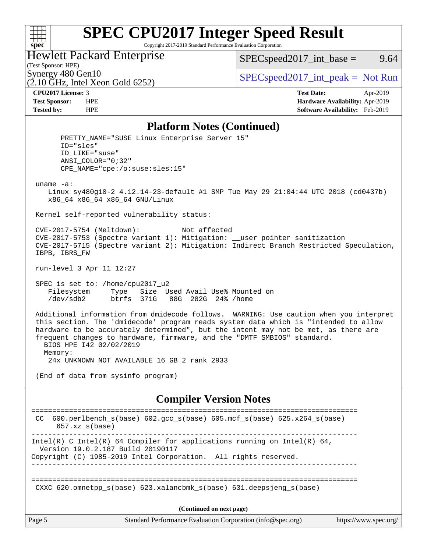## $+\!\!+\!\!$ **[spec](http://www.spec.org/)**

# **[SPEC CPU2017 Integer Speed Result](http://www.spec.org/auto/cpu2017/Docs/result-fields.html#SPECCPU2017IntegerSpeedResult)**

Copyright 2017-2019 Standard Performance Evaluation Corporation

## Hewlett Packard Enterprise

(2.10 GHz, Intel Xeon Gold 6252)

 $SPEC speed2017\_int\_base =$  9.64

(Test Sponsor: HPE)

Synergy 480 Gen10  $S^{per}$  [SPECspeed2017\\_int\\_peak =](http://www.spec.org/auto/cpu2017/Docs/result-fields.html#SPECspeed2017intpeak) Not Run

**[CPU2017 License:](http://www.spec.org/auto/cpu2017/Docs/result-fields.html#CPU2017License)** 3 **[Test Date:](http://www.spec.org/auto/cpu2017/Docs/result-fields.html#TestDate)** Apr-2019 **[Test Sponsor:](http://www.spec.org/auto/cpu2017/Docs/result-fields.html#TestSponsor)** HPE **[Hardware Availability:](http://www.spec.org/auto/cpu2017/Docs/result-fields.html#HardwareAvailability)** Apr-2019 **[Tested by:](http://www.spec.org/auto/cpu2017/Docs/result-fields.html#Testedby)** HPE **[Software Availability:](http://www.spec.org/auto/cpu2017/Docs/result-fields.html#SoftwareAvailability)** Feb-2019

#### **[Platform Notes \(Continued\)](http://www.spec.org/auto/cpu2017/Docs/result-fields.html#PlatformNotes)**

PRETTY NAME="SUSE Linux Enterprise Server 15" ID="sles" ID\_LIKE="suse" ANSI\_COLOR="0;32" CPE\_NAME="cpe:/o:suse:sles:15" uname -a: Linux sy480g10-2 4.12.14-23-default #1 SMP Tue May 29 21:04:44 UTC 2018 (cd0437b) x86\_64 x86\_64 x86\_64 GNU/Linux Kernel self-reported vulnerability status: CVE-2017-5754 (Meltdown): Not affected CVE-2017-5753 (Spectre variant 1): Mitigation: \_\_user pointer sanitization CVE-2017-5715 (Spectre variant 2): Mitigation: Indirect Branch Restricted Speculation, IBPB, IBRS\_FW run-level 3 Apr 11 12:27 SPEC is set to: /home/cpu2017\_u2 Filesystem Type Size Used Avail Use% Mounted on /dev/sdb2 btrfs 371G 88G 282G 24% /home Additional information from dmidecode follows. WARNING: Use caution when you interpret this section. The 'dmidecode' program reads system data which is "intended to allow hardware to be accurately determined", but the intent may not be met, as there are frequent changes to hardware, firmware, and the "DMTF SMBIOS" standard. BIOS HPE I42 02/02/2019 Memory: 24x UNKNOWN NOT AVAILABLE 16 GB 2 rank 2933 (End of data from sysinfo program) **[Compiler Version Notes](http://www.spec.org/auto/cpu2017/Docs/result-fields.html#CompilerVersionNotes)** ============================================================================== CC 600.perlbench\_s(base) 602.gcc\_s(base) 605.mcf\_s(base) 625.x264\_s(base) 657.xz\_s(base) ------------------------------------------------------------------------------ Intel(R) C Intel(R) 64 Compiler for applications running on Intel(R)  $64$ , Version 19.0.2.187 Build 20190117 Copyright (C) 1985-2019 Intel Corporation. All rights reserved. ------------------------------------------------------------------------------ ==============================================================================

CXXC 620.omnetpp\_s(base) 623.xalancbmk\_s(base) 631.deepsjeng\_s(base)

**(Continued on next page)**

Page 5 Standard Performance Evaluation Corporation [\(info@spec.org\)](mailto:info@spec.org) <https://www.spec.org/>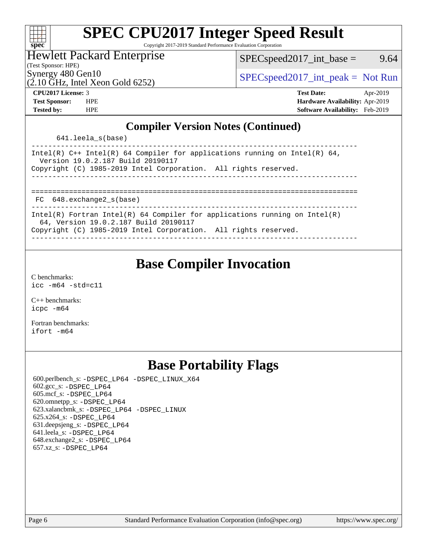| S)<br>Dе<br>I<br>Ľ |  |  |  |  |  |
|--------------------|--|--|--|--|--|

# **[SPEC CPU2017 Integer Speed Result](http://www.spec.org/auto/cpu2017/Docs/result-fields.html#SPECCPU2017IntegerSpeedResult)**

Copyright 2017-2019 Standard Performance Evaluation Corporation

## Hewlett Packard Enterprise

 $SPEC speed2017\_int\_base =$  9.64

(Test Sponsor: HPE)

 $(2.10 \text{ GHz}, \text{Intel Xeon}$  Gold 6252)

Synergy 480 Gen10  $SPEC speed2017\_int\_peak = Not Run$ 

**[CPU2017 License:](http://www.spec.org/auto/cpu2017/Docs/result-fields.html#CPU2017License)** 3 **[Test Date:](http://www.spec.org/auto/cpu2017/Docs/result-fields.html#TestDate)** Apr-2019 **[Test Sponsor:](http://www.spec.org/auto/cpu2017/Docs/result-fields.html#TestSponsor)** HPE **[Hardware Availability:](http://www.spec.org/auto/cpu2017/Docs/result-fields.html#HardwareAvailability)** Apr-2019 **[Tested by:](http://www.spec.org/auto/cpu2017/Docs/result-fields.html#Testedby)** HPE **[Software Availability:](http://www.spec.org/auto/cpu2017/Docs/result-fields.html#SoftwareAvailability)** Feb-2019

## **[Compiler Version Notes \(Continued\)](http://www.spec.org/auto/cpu2017/Docs/result-fields.html#CompilerVersionNotes)**

641.leela\_s(base)

------------------------------------------------------------------------------ Intel(R)  $C++$  Intel(R) 64 Compiler for applications running on Intel(R) 64, Version 19.0.2.187 Build 20190117 Copyright (C) 1985-2019 Intel Corporation. All rights reserved. ------------------------------------------------------------------------------ ============================================================================== FC 648.exchange2\_s(base) ------------------------------------------------------------------------------ Intel(R) Fortran Intel(R) 64 Compiler for applications running on Intel(R) 64, Version 19.0.2.187 Build 20190117 Copyright (C) 1985-2019 Intel Corporation. All rights reserved.

------------------------------------------------------------------------------

# **[Base Compiler Invocation](http://www.spec.org/auto/cpu2017/Docs/result-fields.html#BaseCompilerInvocation)**

[C benchmarks](http://www.spec.org/auto/cpu2017/Docs/result-fields.html#Cbenchmarks): [icc -m64 -std=c11](http://www.spec.org/cpu2017/results/res2019q2/cpu2017-20190430-13346.flags.html#user_CCbase_intel_icc_64bit_c11_33ee0cdaae7deeeab2a9725423ba97205ce30f63b9926c2519791662299b76a0318f32ddfffdc46587804de3178b4f9328c46fa7c2b0cd779d7a61945c91cd35)

[C++ benchmarks:](http://www.spec.org/auto/cpu2017/Docs/result-fields.html#CXXbenchmarks) [icpc -m64](http://www.spec.org/cpu2017/results/res2019q2/cpu2017-20190430-13346.flags.html#user_CXXbase_intel_icpc_64bit_4ecb2543ae3f1412ef961e0650ca070fec7b7afdcd6ed48761b84423119d1bf6bdf5cad15b44d48e7256388bc77273b966e5eb805aefd121eb22e9299b2ec9d9)

[Fortran benchmarks](http://www.spec.org/auto/cpu2017/Docs/result-fields.html#Fortranbenchmarks): [ifort -m64](http://www.spec.org/cpu2017/results/res2019q2/cpu2017-20190430-13346.flags.html#user_FCbase_intel_ifort_64bit_24f2bb282fbaeffd6157abe4f878425411749daecae9a33200eee2bee2fe76f3b89351d69a8130dd5949958ce389cf37ff59a95e7a40d588e8d3a57e0c3fd751)

# **[Base Portability Flags](http://www.spec.org/auto/cpu2017/Docs/result-fields.html#BasePortabilityFlags)**

 600.perlbench\_s: [-DSPEC\\_LP64](http://www.spec.org/cpu2017/results/res2019q2/cpu2017-20190430-13346.flags.html#b600.perlbench_s_basePORTABILITY_DSPEC_LP64) [-DSPEC\\_LINUX\\_X64](http://www.spec.org/cpu2017/results/res2019q2/cpu2017-20190430-13346.flags.html#b600.perlbench_s_baseCPORTABILITY_DSPEC_LINUX_X64) 602.gcc\_s: [-DSPEC\\_LP64](http://www.spec.org/cpu2017/results/res2019q2/cpu2017-20190430-13346.flags.html#suite_basePORTABILITY602_gcc_s_DSPEC_LP64) 605.mcf\_s: [-DSPEC\\_LP64](http://www.spec.org/cpu2017/results/res2019q2/cpu2017-20190430-13346.flags.html#suite_basePORTABILITY605_mcf_s_DSPEC_LP64) 620.omnetpp\_s: [-DSPEC\\_LP64](http://www.spec.org/cpu2017/results/res2019q2/cpu2017-20190430-13346.flags.html#suite_basePORTABILITY620_omnetpp_s_DSPEC_LP64) 623.xalancbmk\_s: [-DSPEC\\_LP64](http://www.spec.org/cpu2017/results/res2019q2/cpu2017-20190430-13346.flags.html#suite_basePORTABILITY623_xalancbmk_s_DSPEC_LP64) [-DSPEC\\_LINUX](http://www.spec.org/cpu2017/results/res2019q2/cpu2017-20190430-13346.flags.html#b623.xalancbmk_s_baseCXXPORTABILITY_DSPEC_LINUX) 625.x264\_s: [-DSPEC\\_LP64](http://www.spec.org/cpu2017/results/res2019q2/cpu2017-20190430-13346.flags.html#suite_basePORTABILITY625_x264_s_DSPEC_LP64) 631.deepsjeng\_s: [-DSPEC\\_LP64](http://www.spec.org/cpu2017/results/res2019q2/cpu2017-20190430-13346.flags.html#suite_basePORTABILITY631_deepsjeng_s_DSPEC_LP64) 641.leela\_s: [-DSPEC\\_LP64](http://www.spec.org/cpu2017/results/res2019q2/cpu2017-20190430-13346.flags.html#suite_basePORTABILITY641_leela_s_DSPEC_LP64) 648.exchange2\_s: [-DSPEC\\_LP64](http://www.spec.org/cpu2017/results/res2019q2/cpu2017-20190430-13346.flags.html#suite_basePORTABILITY648_exchange2_s_DSPEC_LP64) 657.xz\_s: [-DSPEC\\_LP64](http://www.spec.org/cpu2017/results/res2019q2/cpu2017-20190430-13346.flags.html#suite_basePORTABILITY657_xz_s_DSPEC_LP64)